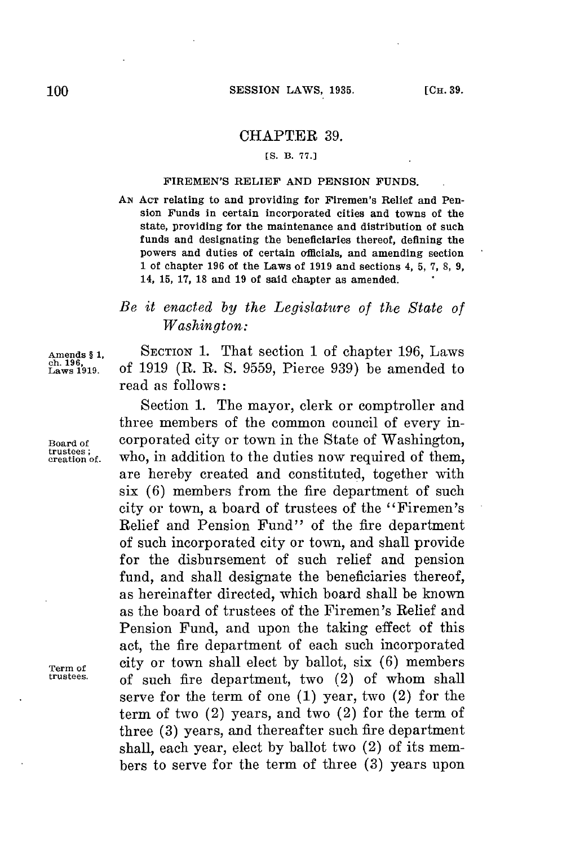## CHAPTER **39.**

## **[S. B. 77.]**

## FIREMEN'S RELIEF **AND PENSION FUNDS.**

*AN* **ACT** relating to and providing for Firemen's Relief and Pension Funds in certain incorporated cities and towns of the state, providing for the maintenance and distribution of such funds and designating the beneficiaries thereof, defining the powers and duties of certain officials, and amending section 1 of chapter **196** of the Laws of **1919** and sections 4, **5, 7, 8, 9,** 14, **15, 17, 18** and **19** of said chapter as amended.

## *Be it enacted by the Legislature of the State of Washington:*

Amends § 1, SECTION 1. That section 1 of chapter 196, Laws<br>ch. 196, of 1919 (R. R. S. 9559, Pierce 939) be amended to **. 191 .** of **1919** (R. R. **S. 9559,** Pierce **939)** be amended to read as follows:

Section **1.** The mayor, clerk or comptroller and three members of the common council of every in-**Board of** corporated city or town in the State of Washington, trustees; who, in addition to the duties now required of them, are hereby created and constituted, together with six **(6)** members from the fire department of such city or town, a board of trustees of the "Firemen's Relief and Pension Fund" of the fire department of such incorporated city or town, and shall provide for the disbursement of such relief and pension fund, and shall designate the beneficiaries thereof, as hereinafter directed, which board shall be known as the board of trustees of the Firemen's Relief and Pension Fund, and upon the taking effect of this act, the fire department of each such incorporated **Term of** city or town shall elect **by** ballot, six **(6)** members **trustees.** of such fire department, two (2) of whom shall serve **for** the term of one **(1)** year, two (2) **for** the term of two (2) years, and two (2) for the term of three **(3)** years, and thereafter such fire department shall, each year, elect **by** ballot two (2) of its members to serve **for** the term of three **(3)** years upon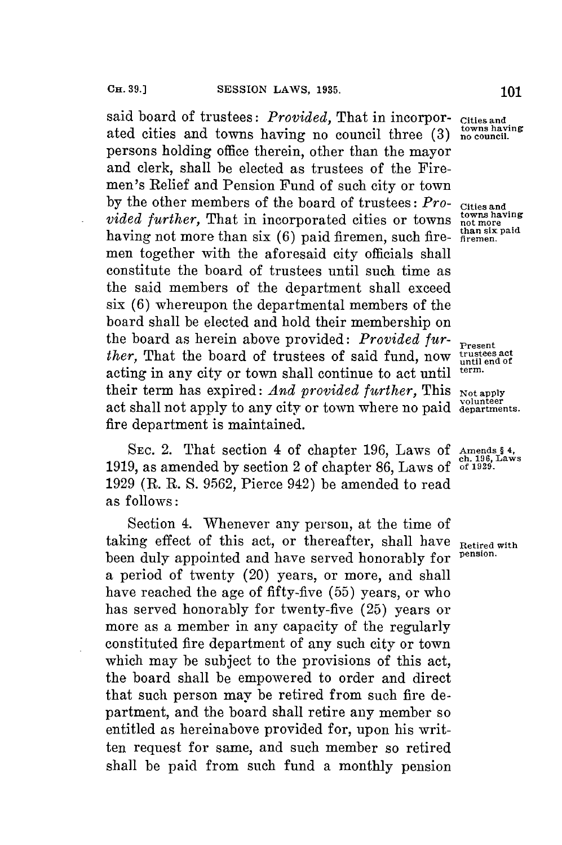said board of trustees: *Provided*, That in incorpor-cities and<br>ated sities and terms large in the same is there (3) <sup>towns having</sup> ated cities and towns having no council three (3) <sup>towns havi</sup> persons holding office therein, other than the mayor and clerk, shall be elected as trustees of the Firemen's Relief and Pension Fund of such city or town by the other members of the board of trustees:  $Pro-$  **Cities and** *vided further*, That in incorporated cities or towns  $\frac{\text{town}_{\text{non}}}{\text{tanh} + \text{c}}$ having not more than six (6) paid firemen, such fire-  $\frac{\text{than six}}{\text{firemen}}$ . men together with the aforesaid city officials shall constitute the board of trustees until such time as the said members of the department shall exceed **six (6)** whereupon the departmental members of the board shall be elected and hold their membership on the board as herein above provided: *Provided fur-* **Present**<br>*ther* That the board of trustees of said fund now trustees act *ther,* That the board of trustees of said fund, now  $\frac{\text{truses act}}{\text{until end of}}$  acting in any city or town shall continue to set  $\text{refil}$  term. acting in any city or town shall continue to act until their term has expired: *And provided further*, This Not apply act shall not apply to any city or town where no paid departments. fire department is maintained.

**SEc.** 2. That section 4 of chapter **196,** Laws of **Amends § 4, ch. 196, Laws 1919,** as amended **by** section 2 of chapter **86,** Laws of **of 1929. 1929** (R. R. **S. 9562,** Pierce 942) be amended to read as follows:

Section 4. Whenever any person, at the time of taking effect of this act, or thereafter, shall have  $R_{\text{etired with}}$ been duly appointed and have served honorably for a period of twenty (20) years, or more, and shall have reached the age of fifty-five **(55)** years, or who has served honorably for twenty-five **(25)** years or more as a member in any capacity of the regularly constituted fire department of any such city or town which may be subject to the provisions of this act, the board shall be empowered to order and direct that such person may be retired from such fire department, and the board shall retire any member so entitled as hereinabove provided for, upon his written request for same, and such member so retired shall be paid from such fund a monthly pension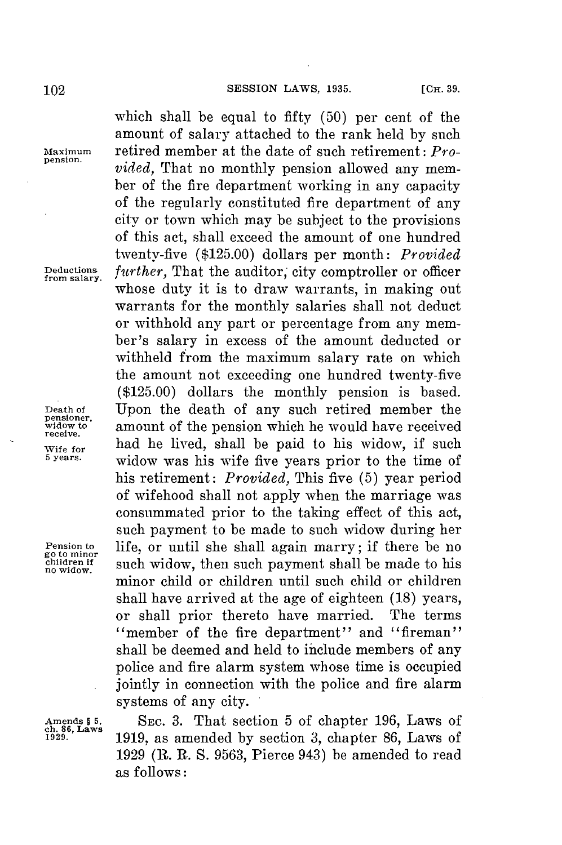go to **minor**

which shall be equal to fifty **(50)** per cent of the amount of salary attached to the rank held **by** such **Maximum** retired member at the date of such retirement: *Provided*, That no monthly pension allowed any member of the fire department working in any capacity of the regularly constituted fire department of any city or town which may be subject to the provisions of this act, shall exceed the amount of one hundred twenty-five **(\$125.00)** dollars per month: *Provided* Deductions *further,* That the auditor; city comptroller or officer from salary. whose duty it is to draw warrants, in making out warrants for the monthly salaries shall not deduct or withhold any part or percentage from any member's salary in excess of the amount deducted or withheld from the maximum salary rate on which the amount not exceeding one hundred twenty-five **(\$125.00)** dollars the monthly pension is based. **Death of** Upon the death of any such retired member the **pensioner, widow to** amount of the pension which he would have received wife for **had he lived, shall be paid to his widow**, if such  $\frac{1}{2}$  is the state of  $\frac{1}{2}$  is the state of  $\frac{1}{2}$  is the state of  $\frac{1}{2}$  is the state of  $\frac{1}{2}$  is the state of  $\frac{1}{2}$  is the state of  $\frac{1$ **5 years.** widow was his wife five years prior to the time of his retirement: *Provided,* This five **(5)** year period of wifehood shall not apply when the marriage was consummated prior to the taking effect of this act, such payment to be made to such widow during her **Pension to** life, or until she shall again marry; if there be no **children if** such widow, then such payment shall be made to his **no widow.** minor child or children until such child or children shall have arrived at the age of eighteen **(18)** years, or shall prior thereto have married. The terms "member of the fire department" and "fireman" shall be deemed and held to include members of any police and fire alarm system whose time is occupied jointly in connection with the police and fire alarm systems **of** any city.

Amends § 5, **SEC. 3. That section 5 of chapter 196, Laws of the Sec. 3. <b>All Section 5** of chapter **86** Laws of **1929. 1919,** as amended **by** section *3,* chapter **86,** Laws of **1929** (R. **R. S. 9563,** Pierce 943) be amended to read as follows: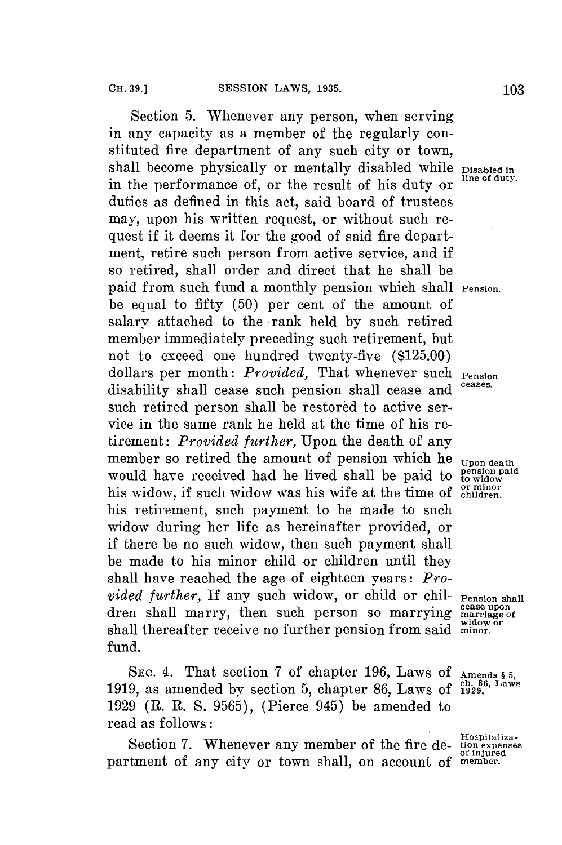Section **5.** Whenever any person, when serving in any capacity as a member of the regularly constituted fire department of any such city or town, shall become physically or mentally disabled while **Disabled in** in the performance of, or the result of his duty or  $\frac{\text{line of duty}}{\text{line of duty}}$ duties as defined in this act, said board of trustees may, upon his written request, or without such request if it deems it for the good of said fire department, retire such person from active service, and if so retired, shall order and direct that he shall be paid from such fund a monthly pension which shall **Pension.** be equal to fifty **(50)** per cent of the amount of salary attached to the -rank held **by** such retired member immediately preceding such retirement, but not to exceed one hundred twenty-five **(\$125.00)** dollars per month: *Provided,* That whenever such **Pension** disability shall cease such pension shall cease and such retired person shall be restored to active service in the same rank he held at the time of his retirement: *Provided further,* Upon the death of any member so retired the amount of pension which he **Upon death** would have received had he lived shall be paid to <sup>ension paid</sup> would have received had he lived shall be paid to his widow, if such widow was his wife at the time of criminary his retirement, such payment to be made to such widow during her life as hereinafter provided, or if there be no such widow, then such payment shall be made to his minor child or children until they shall have reached the age of eighteen years: *Pro-*<br>vided further, If any such widow, or child or chil- Pension shall dren shall marry, then such person so marrying marriage of shall thereafter receive no further pension from said minor. fund.

**SEC.** 4. That section **7** of chapter **196,** Laws of **Amends § 5, 1919,** as amended **by** section **5,** chapter **86,** Laws of **1929.'** <sup>L</sup> **1929** (R. R. **S. 9565),** (Pierce 945) be amended to read as follows:

**Hospitaliza-** Section **7.** Whenever any member of the fire de- **tion expenses of injured** partment of any city or town shall, on account of **member.**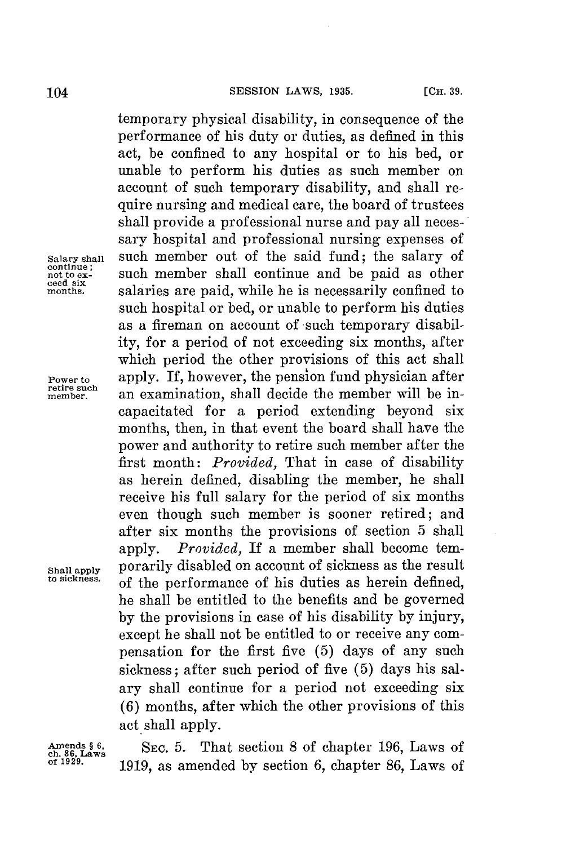temporary physical disability, in consequence of the performance of his duty or duties, as defined in this act, be confined to any hospital or to his bed, or unable to perform his duties as such member on account of such temporary disability, and shall require nursing and medical care, the board of trustees shall provide a professional nurse and pay all necessary hospital and professional nursing expenses of **Salary shall** such member out of the said fund; the salary of such member shall continue and be paid as other salaries are paid, while he is necessarily confined to such hospital or bed, or unable to perform his duties as a fireman on account of such temporary disability, for a period of not exceeding six months, after which period the other provisions of this act shall **Power to** apply. If, however, the pension fund physician after **memher.** an examination, shall decide the member will be incapacitated **for** a period extending beyond six months, then, in that event the board shall have the power and authority to retire such member after the first month: *Provided,* That in case of disability as herein defined, disabling the member, he shall receive his full salary for the period of six months even though such member is sooner retired; and after six months the provisions of section **5** shall apply. *Provided,* If a member shall become tem-**Shall apply** porarily disabled on account of sickness as the result of the performance of his duties as herein defined, he shall be entitled to the benefits and be governed **by** the provisions in case of his disability **by** injury, except he shall not be entitled to or receive any compensation for the first five **(5)** days of any such sickness; after such period of five **(5)** days his salary shall continue for a period not exceeding six **(6)** months, after which the other provisions of this act shall apply.

**Amends § 6, SEC. 5.** That section **8** of chapter **196,** Laws of **ch. 86, Laws of 1929. 1919,** as amended **by** section **6,** chapter **86,** Laws of

**continue;** not to ex-<br>ceed six<br>months.

**retire such**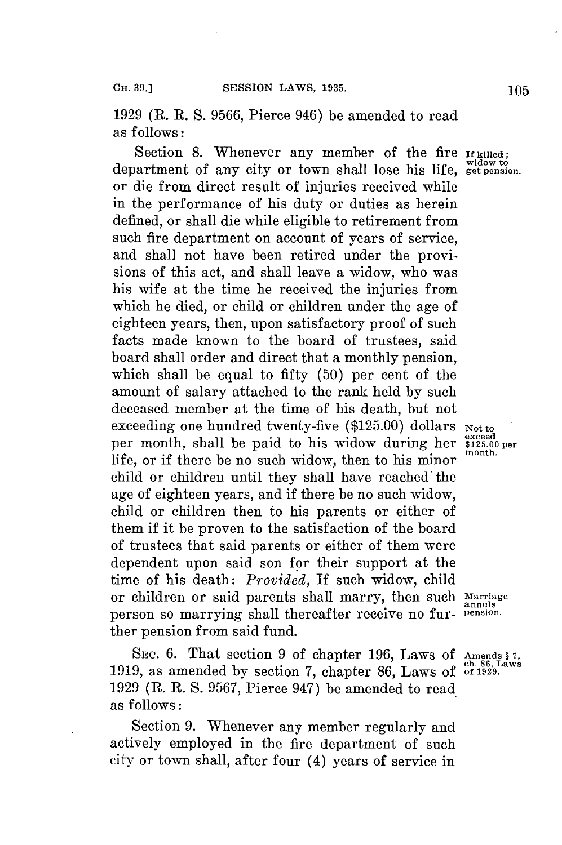**1929** (R. R. **S. 9566,** Pierce 946) be amended to read as follows:

Section 8. Whenever any member of the fire **If killed**;<br>department of any city or town shall lose his life, get pension. or die from direct result of injuries received while in the performance of his duty or duties as herein defined, or shall die while eligible to retirement from such fire department on account of years of service, and shall not have been retired under the provisions of this act, and shall leave a widow, who was his wife at the time he received the injuries from which he died, or child or children under the age of eighteen years, then, upon satisfactory proof of such facts made known to the board of trustees, said board shall order and direct that a monthly pension, which shall be equal to **fifty (50)** per cent of the amount of salary attached to the rank held **by** such deceased member at the time of his death, but not exceeding one hundred twenty-five (\$125.00) dollars **Not to**<br>per month, shall be paid to his widow during her  $\frac{8 \text{200}}{3125.00}$ life, or if there be no such widow, then to his minor month. child or children until they shall have reached' the age of eighteen years, and if there be no such widow, child or children then to his parents or either of them if it be proven to the satisfaction of the board of trustees that said parents or either of them were dependent upon said son for their support at the time of his death: *Provided,* If such widow, child or children or said parents shall marry, then such Marriage person so marrying shall thereafter receive no fur- **pension**. ther pension from said fund.

**SEC. 6.** That section **9** of chapter **196,** Laws **of Amends § 7, ch. 86, Laws 1919,** as amended **by** section **7,** chapter **86,** Laws of **of 1929. 1929** (R. R. **S. 9567,** Pierce 947) be amended to read as follows:

Section **9.** Whenever any member regularly and actively employed in the fire department of such city or town shall, after four (4) years of service in

exceed<br>\$125.00 per

annuls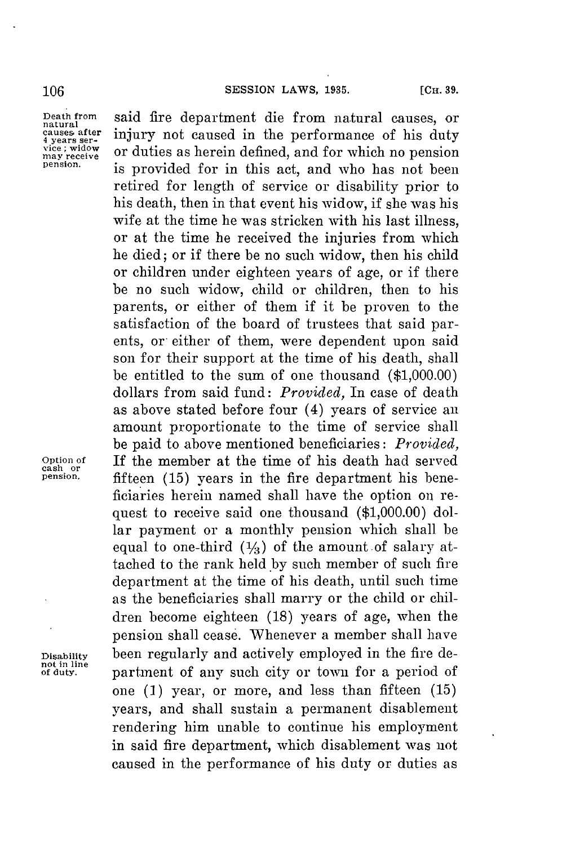**causes after**  4 years ser-<br>
vice ; widow<br>
may receive

**Death from** said fire department die from natural causes, or **natural** injury not caused in the performance of his duty vice; widow or duties as herein defined, and for which no pension is provided for in this act, and who has not been retired **for** length of service or disability prior to his death, then in that event his widow, if she was his wife at the time he was stricken with his last illness. or at the time he received the injuries from which he died; or if there be no such widow, then his child or children under eighteen years of age, or if there be no such widow, child or children, then to his parents, or either of them if it be proven to the satisfaction of the board of trustees that said parents, or either of them, were dependent upon said son for their support at the time of his death, shall be entitled to the sum of one thousand **(\$1,000.00)** dollars from said fund: *Provided,* In case of death as above stated before four (4) years of service an amount proportionate to the time of service shall be paid to above mentioned beneficiaries: *Provided,* **Option of** If the member at the time of his death had served **cash or pension.** fifteen **(15)** years in the fire department his beneficiaries herein named shall have the option on request to receive said one thousand **(\$1,000.00)** dollar payment or a monthly pension which shall be equal to one-third  $(1/3)$  of the amount of salary attached to the rank **held.by** such member of such fire department at the time of his death, until such time as the beneficiaries shall marry or the child or children become eighteen **(18)** years of age, when the pension shall cease. Whenever a member shall have **Disability** been regularly and actively employed in the fire department of any such city or town for a period of one **(1)** year, or more, and less than fifteen **(15)** years, and shall sustain a permanent disablement rendering him unable to continue his employment in said fire department, which disablement was not caused in the performance of his duty or duties as

**not in line**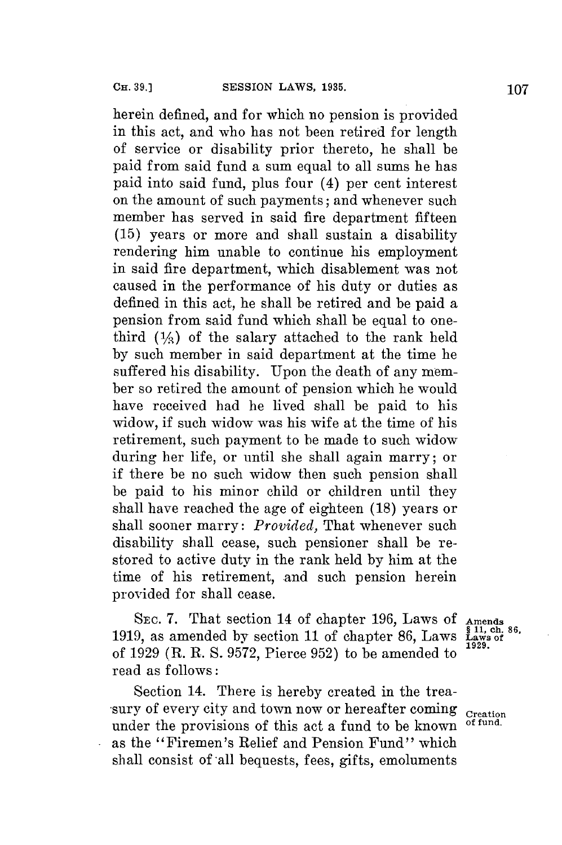herein defined, and **for** which no pension is provided in this act, and who has not been retired for length of service or disability prior thereto, he shall be paid from said fund a sum equal to all sums he has paid into said fund, plus four (4) per cent interest on the amount of such payments; and whenever such member has served in said fire department fifteen **(15)** years or more and shall sustain a disability rendering him unable to continue his employment in said fire department, which disablement was not caused in the performance of his duty or duties as defined in this act, he shall be retired and be paid a pension from said fund which shall be equal to onethird  $(1/2)$  of the salary attached to the rank held **by** such member in said department at the time he suffered his disability. Upon the death of any member so retired the amount of pension which he would have received had he lived shall be paid to his widow, if such widow was his wife at the time of his retirement, such payment to be made to such widow during her life, or until she shall again marry; or if there be no such widow then such pension shall be paid to his minor child or children until they shall have reached the age of eighteen **(18)** years or shall sooner marry: *Provided,* That whenever such disability shall cease, such pensioner shall be restored to active duty in the rank held **by** him at the time of his retirement, and such pension herein provided for shall cease.

**SEC. 7.** That section 14 of chapter **196,** Laws **of Amends 1919, as amended by section 11 of chapter 86, Laws** of **1929 (R.** R. **S. 9572,** Pierce **952)** to be amended to **1929.** read as **follows:**

Section 14. There is hereby created in the treasury of every city and town now or hereafter coming **Creation**<br>under the provisions of this act a fund to be known of fund. under the provisions of this act a fund to be known **of fund.** as the "Firemen's Relief and Pension Fund" which shall consist of all bequests, fees, gifts, emoluments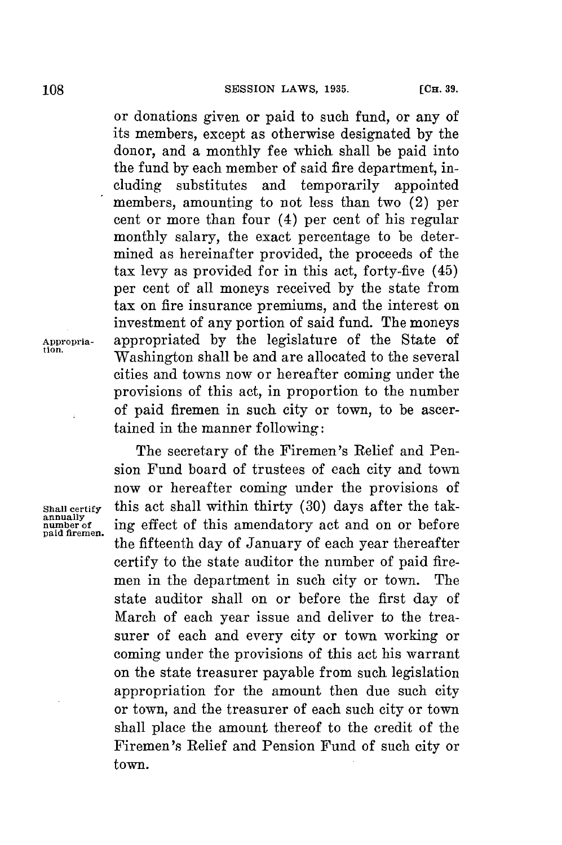or donations given or paid to such fund, or any of its members, except as otherwise designated **by** the donor, and a monthly fee which shall be paid into the fund **by** each member of said fire department, including substitutes and temporarily appointed members, amounting to not less than two (2) per cent or more than four (4) per cent of his regular monthly salary, the exact percentage to be determined as hereinafter provided, the proceeds of the tax levy as provided for in this act, forty-five (45) per cent of all moneys received **by** the state from tax on fire insurance premiums, and the interest on investment of any portion of said fund. The moneys **Appropria-** appropriated **by** the legislature of the State of Washington shall be and are allocated to the several cities and towns now or hereafter coming under the provisions of this act, in proportion to the number of paid firemen in such city or town, to be ascertained in the manner following:

> The secretary of the Firemen's Relief and Pension Fund board of trustees of each city and town now or hereafter coming under the provisions of **Shall certify** this act shall within thirty **(30)** days after the taking effect of this amendatory act and on or before the fifteenth day of January of each year thereafter certify to the state auditor the number of paid firemen in the department in such city or town. The state auditor shall on or before the first day of March of each year issue and deliver to the treasurer of each and every city or town working or coming under the provisions of this act his warrant on the state treasurer payable from such legislation appropriation for the amount then due such city or town, and the treasurer of each such city or town shall place the amount thereof to the credit of the Firemen's Relief and Pension Fund of such city or town.

**annually paid firemen.**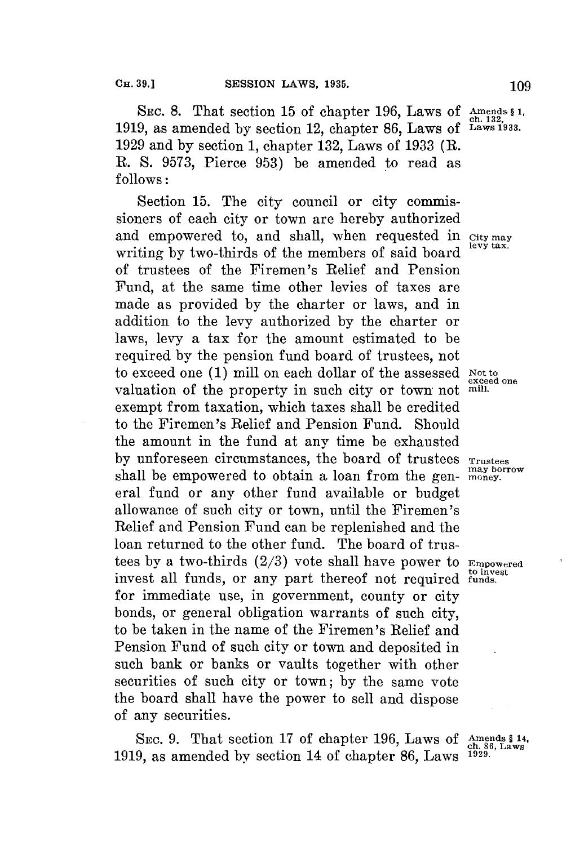SEC. 8. That section 15 of chapter 196, Laws of Amends § 1, 1919, as amended by section 12, chapter 86, Laws of Laws 1933. **1929** and **by** section **1,** chapter **132,** Laws of **1933** (R. R. **S. 9573,** Pierce **953)** be amended to read as **follows:**

Section **15.** The city council or city commissioners of each city or town are hereby authorized and empowered to, and shall, when requested in City may writing by two-thirds of the members of said board of trustees of the Firemen's Relief and Pension Fund, at the same time other levies of taxes are made as provided **by** the charter or laws, and in addition to the levy authorized **by** the charter or laws, levy a tax for the amount estimated to be required **by** the pension fund board of trustees, not to exceed one **(1)** mill on each dollar of the assessed **Not to** valuation of the property in such city or town not **mill.** exempt from taxation, which taxes shall be credited to the Firemen's Relief and Pension Fund. Should the amount in the fund at any time be exhausted by unforeseen circumstances, the board of trustees **Trustees** shall be empowered to obtain a loan from the gen- money. shall be empowered to obtain a loan from the general fund or any other fund available or budget allowance of such city or town, until the Firemen's Relief and Pension Fund can be replenished and the loan returned to the other fund. The board of trustees **by** a two-thirds **(2/3)** vote shall have power to **Empowered to invest** invest all funds, or any part thereof not required **funds.** for immediate use, in government, county or city bonds, or general obligation warrants of such city, to **be** taken in the name of the Firemen's Relief and Pension Fund of such city or town and deposited in such bank or banks or vaults together with other securities of such city or town; **by** the same vote the board shall have the power to sell and dispose of any securities.

SEC. 9. That section 17 of chapter 196, Laws of Amends \$ 14, **1919,** as amended **by** section 14 of chapter **86,** Laws **1929.**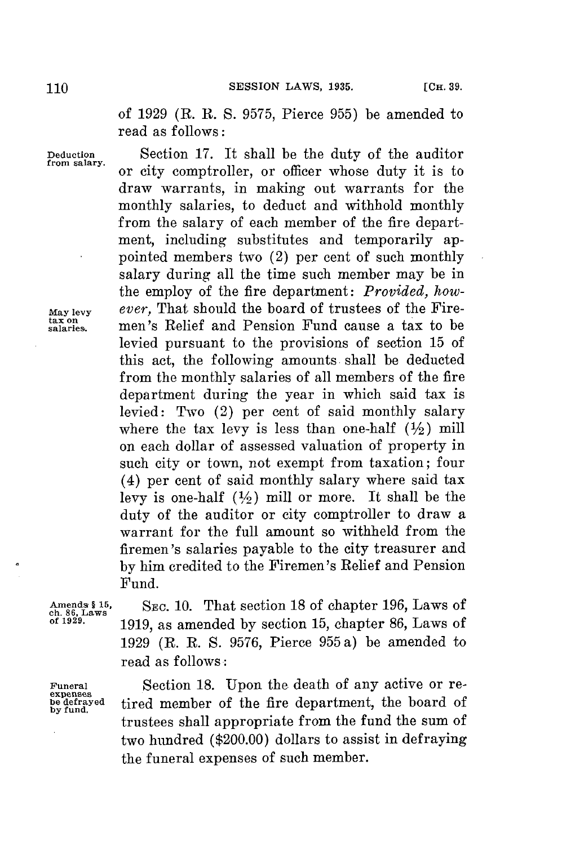of **1929** (R. R. **S. 9575,** Pierce **955)** be amended to read as follows:

or city comptroller, or officer whose duty it is to draw warrants, in making out warrants for the monthly salaries, to deduct and withhold monthly from the salary of each member of the fire department, including substitutes and temporarily appointed members two (2) per cent of such monthly salary during all the time such member may be in the employ of the fire department: *Provided, how-*

levied pursuant to the provisions of section **15** of this act, the following amounts shall be deducted from the monthly salaries of all members of the fire department during the year in which said tax is levied: Two (2) per cent of said monthly salary where the tax levy is less than one-half  $(\frac{1}{2})$  mill on each dollar of assessed valuation of property in such city or town, not exempt from taxation; four (4) per cent of said monthly salary where said tax levy is one-half  $(\frac{1}{2})$  mill or more. It shall be the duty of the auditor or city comptroller to draw a warrant for the full amount so withheld from the firemen's salaries payable to the city treasurer and **by** him credited to the Firemen's Relief and Pension

**Deduction** Section **17.** It shall be the duty of the auditor **from salary..**

**May levy** *ever,* That should the board of trustees of the Fire**tax on salaries.** men's Relief and Pension Fund cause a tax to be

Fund.

**expenses by fund.**

Amends § 15, SEC. 10. That section 18 of chapter 196, Laws of chapter 196, 1 aws of **chapter** 1978. **of 1929. 1919,** as amended **by** section **15,** chapter **86,** Laws of **1929** (R. R. **S. 9576,** Pierce **955** a) be amended to read as follows:

**Funeral** Section **18.** Upon the death of any active or retired member of the fire department, the board of trustees shall appropriate from the fund the sum of two hundred (\$200.00) dollars to assist in defraying the funeral expenses of such member.